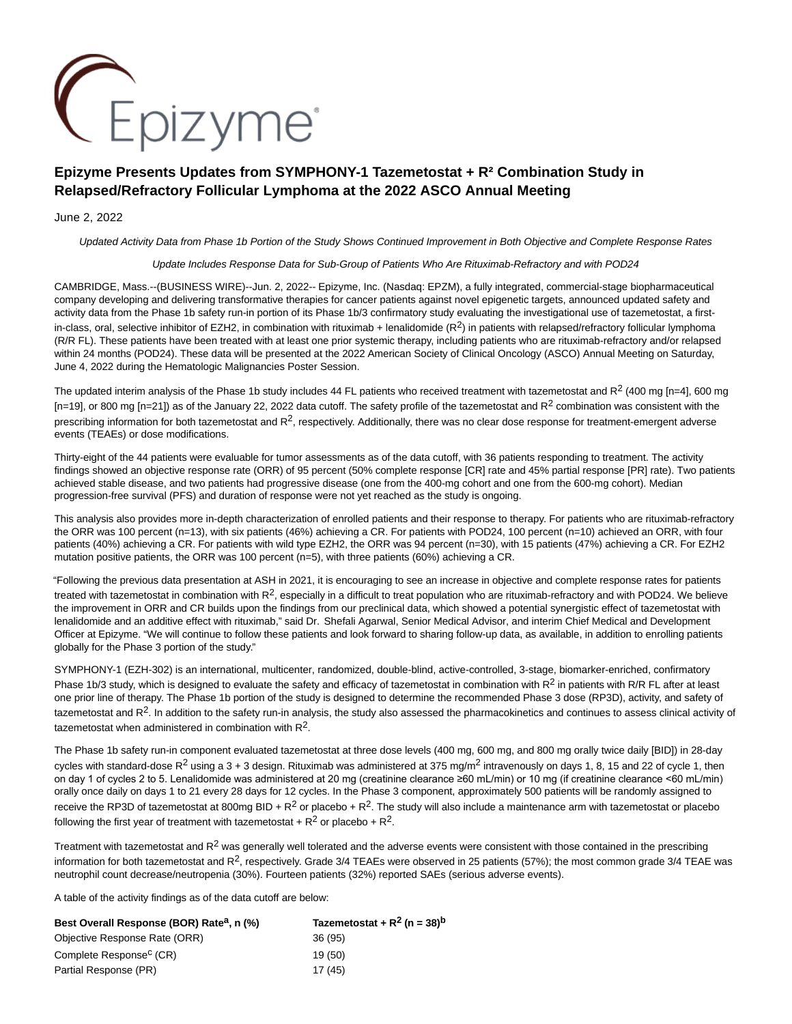

# **Epizyme Presents Updates from SYMPHONY-1 Tazemetostat + R² Combination Study in Relapsed/Refractory Follicular Lymphoma at the 2022 ASCO Annual Meeting**

# June 2, 2022

Updated Activity Data from Phase 1b Portion of the Study Shows Continued Improvement in Both Objective and Complete Response Rates

# Update Includes Response Data for Sub-Group of Patients Who Are Rituximab-Refractory and with POD24

CAMBRIDGE, Mass.--(BUSINESS WIRE)--Jun. 2, 2022-- Epizyme, Inc. (Nasdaq: EPZM), a fully integrated, commercial-stage biopharmaceutical company developing and delivering transformative therapies for cancer patients against novel epigenetic targets, announced updated safety and activity data from the Phase 1b safety run-in portion of its Phase 1b/3 confirmatory study evaluating the investigational use of tazemetostat, a firstin-class, oral, selective inhibitor of EZH2, in combination with rituximab + lenalidomide  $(R^2)$  in patients with relapsed/refractory follicular lymphoma (R/R FL). These patients have been treated with at least one prior systemic therapy, including patients who are rituximab-refractory and/or relapsed within 24 months (POD24). These data will be presented at the 2022 American Society of Clinical Oncology (ASCO) Annual Meeting on Saturday, June 4, 2022 during the Hematologic Malignancies Poster Session.

The updated interim analysis of the Phase 1b study includes 44 FL patients who received treatment with tazemetostat and  $R^2$  (400 mg [n=4], 600 mg  $[n=19]$ , or 800 mg  $[n=21]$ ) as of the January 22, 2022 data cutoff. The safety profile of the tazemetostat and R<sup>2</sup> combination was consistent with the prescribing information for both tazemetostat and  $R^2$ , respectively. Additionally, there was no clear dose response for treatment-emergent adverse events (TEAEs) or dose modifications.

Thirty-eight of the 44 patients were evaluable for tumor assessments as of the data cutoff, with 36 patients responding to treatment. The activity findings showed an objective response rate (ORR) of 95 percent (50% complete response [CR] rate and 45% partial response [PR] rate). Two patients achieved stable disease, and two patients had progressive disease (one from the 400-mg cohort and one from the 600-mg cohort). Median progression-free survival (PFS) and duration of response were not yet reached as the study is ongoing.

This analysis also provides more in-depth characterization of enrolled patients and their response to therapy. For patients who are rituximab-refractory the ORR was 100 percent (n=13), with six patients (46%) achieving a CR. For patients with POD24, 100 percent (n=10) achieved an ORR, with four patients (40%) achieving a CR. For patients with wild type EZH2, the ORR was 94 percent (n=30), with 15 patients (47%) achieving a CR. For EZH2 mutation positive patients, the ORR was 100 percent (n=5), with three patients (60%) achieving a CR.

"Following the previous data presentation at ASH in 2021, it is encouraging to see an increase in objective and complete response rates for patients treated with tazemetostat in combination with  $R^2$ , especially in a difficult to treat population who are rituximab-refractory and with POD24. We believe the improvement in ORR and CR builds upon the findings from our preclinical data, which showed a potential synergistic effect of tazemetostat with lenalidomide and an additive effect with rituximab," said Dr. Shefali Agarwal, Senior Medical Advisor, and interim Chief Medical and Development Officer at Epizyme. "We will continue to follow these patients and look forward to sharing follow-up data, as available, in addition to enrolling patients globally for the Phase 3 portion of the study."

SYMPHONY-1 (EZH-302) is an international, multicenter, randomized, double-blind, active-controlled, 3-stage, biomarker-enriched, confirmatory Phase 1b/3 study, which is designed to evaluate the safety and efficacy of tazemetostat in combination with  $R^2$  in patients with R/R FL after at least one prior line of therapy. The Phase 1b portion of the study is designed to determine the recommended Phase 3 dose (RP3D), activity, and safety of tazemetostat and  $R<sup>2</sup>$ . In addition to the safety run-in analysis, the study also assessed the pharmacokinetics and continues to assess clinical activity of tazemetostat when administered in combination with R2.

The Phase 1b safety run-in component evaluated tazemetostat at three dose levels (400 mg, 600 mg, and 800 mg orally twice daily [BID]) in 28-day cycles with standard-dose  $R^2$  using a 3 + 3 design. Rituximab was administered at 375 mg/m<sup>2</sup> intravenously on days 1, 8, 15 and 22 of cycle 1, then on day 1 of cycles 2 to 5. Lenalidomide was administered at 20 mg (creatinine clearance ≥60 mL/min) or 10 mg (if creatinine clearance <60 mL/min) orally once daily on days 1 to 21 every 28 days for 12 cycles. In the Phase 3 component, approximately 500 patients will be randomly assigned to receive the RP3D of tazemetostat at 800mg BID +  $R^2$  or placebo +  $R^2$ . The study will also include a maintenance arm with tazemetostat or placebo following the first year of treatment with tazemetostat +  $R^2$  or placebo +  $R^2$ .

Treatment with tazemetostat and  $R<sup>2</sup>$  was generally well tolerated and the adverse events were consistent with those contained in the prescribing information for both tazemetostat and  $R^2$ , respectively. Grade 3/4 TEAEs were observed in 25 patients (57%); the most common grade 3/4 TEAE was neutrophil count decrease/neutropenia (30%). Fourteen patients (32%) reported SAEs (serious adverse events).

A table of the activity findings as of the data cutoff are below:

| Best Overall Response (BOR) Rate <sup>a</sup> , n (%) | Tazemetostat + $R^2$ (n = 38) <sup>b</sup> |
|-------------------------------------------------------|--------------------------------------------|
| Objective Response Rate (ORR)                         | 36 (95)                                    |
| Complete Response <sup>c</sup> (CR)                   | 19(50)                                     |
| Partial Response (PR)                                 | 17(45)                                     |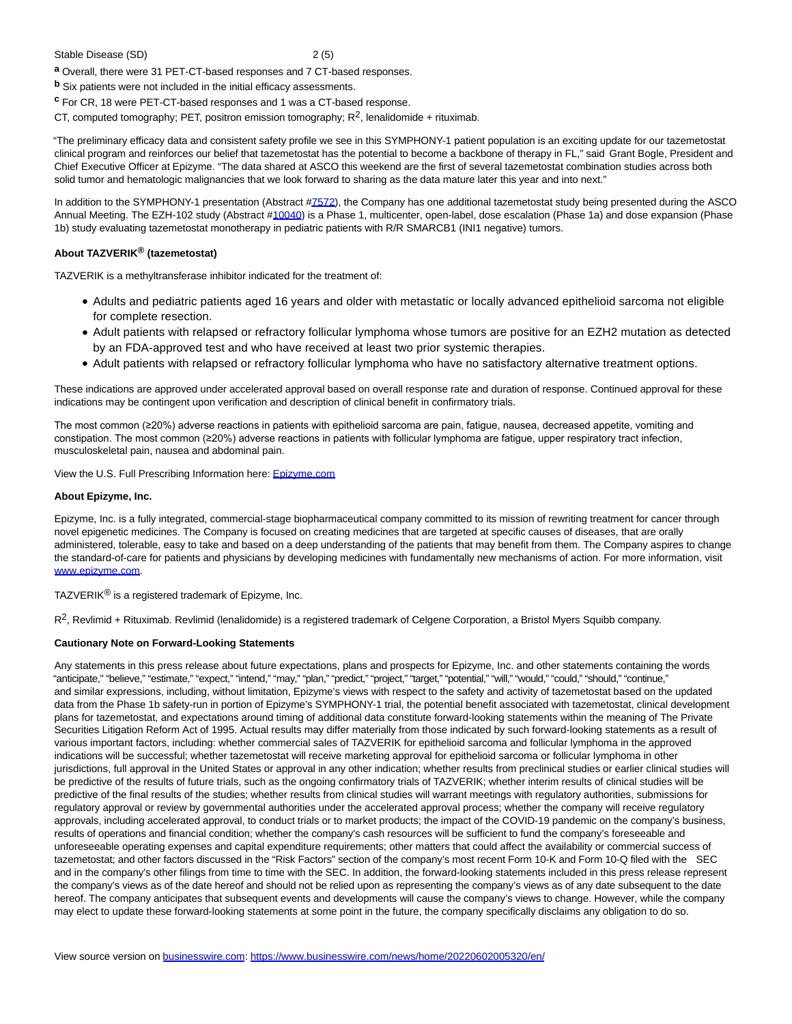#### Stable Disease (SD) 2 (5)

**a** Overall, there were 31 PET-CT-based responses and 7 CT-based responses.

**b** Six patients were not included in the initial efficacy assessments.

**c** For CR, 18 were PET-CT-based responses and 1 was a CT-based response.

CT, computed tomography; PET, positron emission tomography;  $R^2$ , lenalidomide + rituximab.

"The preliminary efficacy data and consistent safety profile we see in this SYMPHONY-1 patient population is an exciting update for our tazemetostat clinical program and reinforces our belief that tazemetostat has the potential to become a backbone of therapy in FL," said Grant Bogle, President and Chief Executive Officer at Epizyme. "The data shared at ASCO this weekend are the first of several tazemetostat combination studies across both solid tumor and hematologic malignancies that we look forward to sharing as the data mature later this year and into next."

In addition to the SYMPHONY-1 presentation (Abstract [#7572\),](https://cts.businesswire.com/ct/CT?id=smartlink&url=https%3A%2F%2Fmeetings.asco.org%2Fabstracts-presentations%2F210095&esheet=52737347&newsitemid=20220602005320&lan=en-US&anchor=7572&index=1&md5=a44d06f89acdbcae2c1930063ae1cbae) the Company has one additional tazemetostat study being presented during the ASCO Annual Meeting. The EZH-102 study (Abstract [#10040\)](https://cts.businesswire.com/ct/CT?id=smartlink&url=https%3A%2F%2Fmeetings.asco.org%2Fabstracts-presentations%2F209309&esheet=52737347&newsitemid=20220602005320&lan=en-US&anchor=10040&index=2&md5=2b735d9401f5706feb6d4b930cc46023) is a Phase 1, multicenter, open-label, dose escalation (Phase 1a) and dose expansion (Phase 1b) study evaluating tazemetostat monotherapy in pediatric patients with R/R SMARCB1 (INI1 negative) tumors.

# **About TAZVERIK® (tazemetostat)**

TAZVERIK is a methyltransferase inhibitor indicated for the treatment of:

- Adults and pediatric patients aged 16 years and older with metastatic or locally advanced epithelioid sarcoma not eligible for complete resection.
- Adult patients with relapsed or refractory follicular lymphoma whose tumors are positive for an EZH2 mutation as detected by an FDA-approved test and who have received at least two prior systemic therapies.
- Adult patients with relapsed or refractory follicular lymphoma who have no satisfactory alternative treatment options.

These indications are approved under accelerated approval based on overall response rate and duration of response. Continued approval for these indications may be contingent upon verification and description of clinical benefit in confirmatory trials.

The most common (≥20%) adverse reactions in patients with epithelioid sarcoma are pain, fatigue, nausea, decreased appetite, vomiting and constipation. The most common (≥20%) adverse reactions in patients with follicular lymphoma are fatigue, upper respiratory tract infection, musculoskeletal pain, nausea and abdominal pain.

View the U.S. Full Prescribing Information here[: Epizyme.com](https://cts.businesswire.com/ct/CT?id=smartlink&url=https%3A%2F%2Fwww.epizyme.com%2Fmedicines%2F&esheet=52737347&newsitemid=20220602005320&lan=en-US&anchor=Epizyme.com&index=3&md5=18a1e2ee8a20f28d7abc7e2dc01fef79)

## **About Epizyme, Inc.**

Epizyme, Inc. is a fully integrated, commercial-stage biopharmaceutical company committed to its mission of rewriting treatment for cancer through novel epigenetic medicines. The Company is focused on creating medicines that are targeted at specific causes of diseases, that are orally administered, tolerable, easy to take and based on a deep understanding of the patients that may benefit from them. The Company aspires to change the standard-of-care for patients and physicians by developing medicines with fundamentally new mechanisms of action. For more information, visit [www.epizyme.com.](https://cts.businesswire.com/ct/CT?id=smartlink&url=http%3A%2F%2Fwww.epizyme.com&esheet=52737347&newsitemid=20220602005320&lan=en-US&anchor=www.epizyme.com&index=4&md5=45cb6f0cc47ce65df29e96a870304b52)

TAZVERIK<sup>®</sup> is a registered trademark of Epizyme, Inc.

 $R^2$ , Revlimid + Rituximab. Revlimid (lenalidomide) is a registered trademark of Celgene Corporation, a Bristol Myers Squibb company.

## **Cautionary Note on Forward-Looking Statements**

Any statements in this press release about future expectations, plans and prospects for Epizyme, Inc. and other statements containing the words "anticipate," "believe," "estimate," "expect," "intend," "may," "plan," "predict," "project," "target," "potential," "will," "would," "could," "should," "continue," and similar expressions, including, without limitation, Epizyme's views with respect to the safety and activity of tazemetostat based on the updated data from the Phase 1b safety-run in portion of Epizyme's SYMPHONY-1 trial, the potential benefit associated with tazemetostat, clinical development plans for tazemetostat, and expectations around timing of additional data constitute forward-looking statements within the meaning of The Private Securities Litigation Reform Act of 1995. Actual results may differ materially from those indicated by such forward-looking statements as a result of various important factors, including: whether commercial sales of TAZVERIK for epithelioid sarcoma and follicular lymphoma in the approved indications will be successful; whether tazemetostat will receive marketing approval for epithelioid sarcoma or follicular lymphoma in other jurisdictions, full approval in the United States or approval in any other indication; whether results from preclinical studies or earlier clinical studies will be predictive of the results of future trials, such as the ongoing confirmatory trials of TAZVERIK; whether interim results of clinical studies will be predictive of the final results of the studies; whether results from clinical studies will warrant meetings with regulatory authorities, submissions for regulatory approval or review by governmental authorities under the accelerated approval process; whether the company will receive regulatory approvals, including accelerated approval, to conduct trials or to market products; the impact of the COVID-19 pandemic on the company's business, results of operations and financial condition; whether the company's cash resources will be sufficient to fund the company's foreseeable and unforeseeable operating expenses and capital expenditure requirements; other matters that could affect the availability or commercial success of tazemetostat; and other factors discussed in the "Risk Factors" section of the company's most recent Form 10-K and Form 10-Q filed with the SEC and in the company's other filings from time to time with the SEC. In addition, the forward-looking statements included in this press release represent the company's views as of the date hereof and should not be relied upon as representing the company's views as of any date subsequent to the date hereof. The company anticipates that subsequent events and developments will cause the company's views to change. However, while the company may elect to update these forward-looking statements at some point in the future, the company specifically disclaims any obligation to do so.